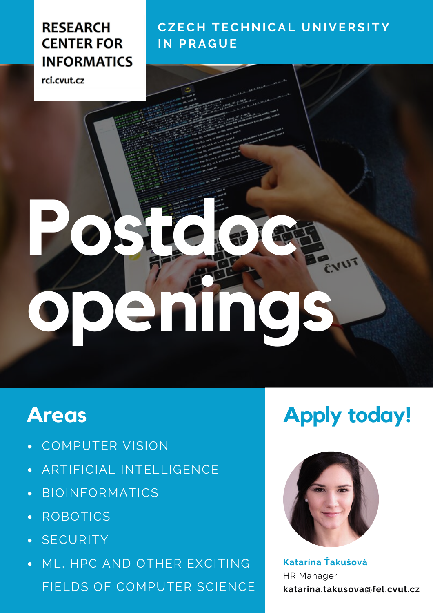#### **RESEARCH CENTER FOR INFORMATICS**

rci.cvut.cz

#### **CZEC H TEC HNICAL UNIVERSITY IN PRA GUE**

# Postdock Charles **openings**

### **Areas**

- COMPUTER VISION  $\bullet$
- ARTIFICIAL INTELLIGENCE  $\bullet$
- BIOINFORMATICS  $\bullet$
- ROBOTICS  $\bullet$
- · SECURITY
- ML, HPC AND OTHER EXCITING FIELDS OF COMPUTER SCIENCE

## **Apply today!**



**Katarína Ťakušová** HR Manager **katarina.takusova@fel.cvut.cz**